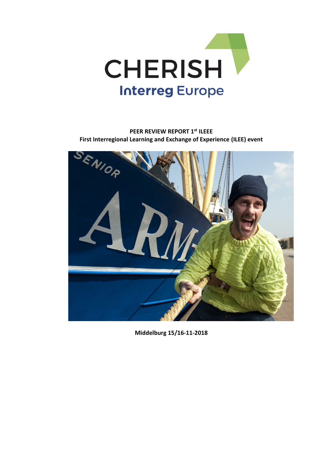

## **PEER REVIEW REPORT 1st ILEEE First Interregional Learning and Exchange of Experience (ILEE) event**



**Middelburg 15/16-11-2018**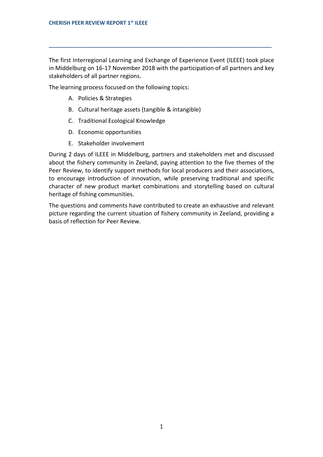The first Interregional Learning and Exchange of Experience Event (ILEEE) took place in Middelburg on 16-17 November 2018 with the participation of all partners and key stakeholders of all partner regions.

**\_\_\_\_\_\_\_\_\_\_\_\_\_\_\_\_\_\_\_\_\_\_\_\_\_\_\_\_\_\_\_\_\_\_\_\_\_\_\_\_\_\_\_\_\_\_\_\_\_\_\_\_\_\_\_\_\_\_\_\_\_\_\_\_\_\_\_\_\_\_\_\_\_\_\_**

The learning process focused on the following topics:

- A. Policies & Strategies
- B. Cultural heritage assets (tangible & intangible)
- C. Traditional Ecological Knowledge
- D. Economic opportunities
- E. Stakeholder involvement

During 2 days of ILEEE in Middelburg, partners and stakeholders met and discussed about the fishery community in Zeeland, paying attention to the five themes of the Peer Review, to identify support methods for local producers and their associations, to encourage introduction of innovation, while preserving traditional and specific character of new product market combinations and storytelling based on cultural heritage of fishing communities.

The questions and comments have contributed to create an exhaustive and relevant picture regarding the current situation of fishery community in Zeeland, providing a basis of reflection for Peer Review.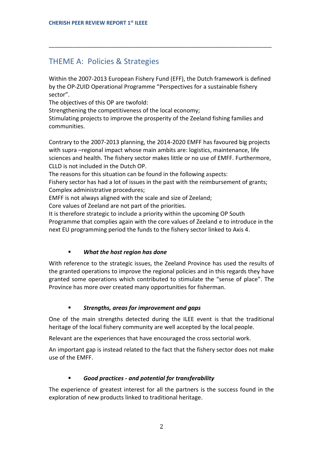# THEME A: Policies & Strategies

Within the 2007-2013 European Fishery Fund (EFF), the Dutch framework is defined by the OP-ZUID Operational Programme "Perspectives for a sustainable fishery sector".

**\_\_\_\_\_\_\_\_\_\_\_\_\_\_\_\_\_\_\_\_\_\_\_\_\_\_\_\_\_\_\_\_\_\_\_\_\_\_\_\_\_\_\_\_\_\_\_\_\_\_\_\_\_\_\_\_\_\_\_\_\_\_\_\_\_\_\_\_\_\_\_\_\_\_\_**

The objectives of this OP are twofold:

Strengthening the competitiveness of the local economy;

Stimulating projects to improve the prosperity of the Zeeland fishing families and communities.

Contrary to the 2007-2013 planning, the 2014-2020 EMFF has favoured big projects with supra –regional impact whose main ambits are: logistics, maintenance, life sciences and health. The fishery sector makes little or no use of EMFF. Furthermore, CLLD is not included in the Dutch OP.

The reasons for this situation can be found in the following aspects:

Fishery sector has had a lot of issues in the past with the reimbursement of grants; Complex administrative procedures;

EMFF is not always aligned with the scale and size of Zeeland;

Core values of Zeeland are not part of the priorities.

It is therefore strategic to include a priority within the upcoming OP South Programme that complies again with the core values of Zeeland e to introduce in the next EU programming period the funds to the fishery sector linked to Axis 4.

## *What the host region has done*

With reference to the strategic issues, the Zeeland Province has used the results of the granted operations to improve the regional policies and in this regards they have granted some operations which contributed to stimulate the "sense of place". The Province has more over created many opportunities for fisherman.

## *Strengths, areas for improvement and gaps*

One of the main strengths detected during the ILEE event is that the traditional heritage of the local fishery community are well accepted by the local people.

Relevant are the experiences that have encouraged the cross sectorial work.

An important gap is instead related to the fact that the fishery sector does not make use of the EMFF.

## *Good practices - and potential for transferability*

The experience of greatest interest for all the partners is the success found in the exploration of new products linked to traditional heritage.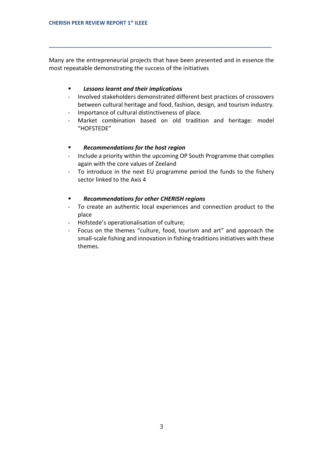Many are the entrepreneurial projects that have been presented and in essence the most repeatable demonstrating the success of the initiatives

**\_\_\_\_\_\_\_\_\_\_\_\_\_\_\_\_\_\_\_\_\_\_\_\_\_\_\_\_\_\_\_\_\_\_\_\_\_\_\_\_\_\_\_\_\_\_\_\_\_\_\_\_\_\_\_\_\_\_\_\_\_\_\_\_\_\_\_\_\_\_\_\_\_\_\_**

#### *Lessons learnt and their implications*

- Involved stakeholders demonstrated different best practices of crossovers between cultural heritage and food, fashion, design, and tourism industry.
- Importance of cultural distinctiveness of place.
- Market combination based on old tradition and heritage: model "HOFSTEDE"

#### *Recommendations for the host region*

- Include a priority within the upcoming OP South Programme that complies again with the core values of Zeeland
- To introduce in the next EU programme period the funds to the fishery sector linked to the Axis 4

#### *Recommendations for other CHERISH regions*

- To create an authentic local experiences and connection product to the place
- Hofstede's operationalisation of culture;
- Focus on the themes "culture, food, tourism and art" and approach the small-scale fishing and innovation in fishing-traditions initiatives with these themes.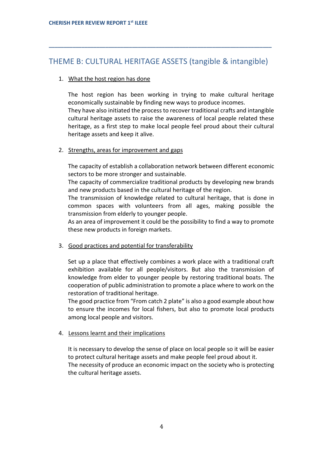## THEME B: CULTURAL HERITAGE ASSETS (tangible & intangible)

**\_\_\_\_\_\_\_\_\_\_\_\_\_\_\_\_\_\_\_\_\_\_\_\_\_\_\_\_\_\_\_\_\_\_\_\_\_\_\_\_\_\_\_\_\_\_\_\_\_\_\_\_\_\_\_\_\_\_\_\_\_\_\_\_\_\_\_\_\_\_\_\_\_\_\_**

## 1. What the host region has done

The host region has been working in trying to make cultural heritage economically sustainable by finding new ways to produce incomes.

They have also initiated the process to recover traditional crafts and intangible cultural heritage assets to raise the awareness of local people related these heritage, as a first step to make local people feel proud about their cultural heritage assets and keep it alive.

## 2. Strengths, areas for improvement and gaps

The capacity of establish a collaboration network between different economic sectors to be more stronger and sustainable.

The capacity of commercialize traditional products by developing new brands and new products based in the cultural heritage of the region.

The transmission of knowledge related to cultural heritage, that is done in common spaces with volunteers from all ages, making possible the transmission from elderly to younger people.

As an area of improvement it could be the possibility to find a way to promote these new products in foreign markets.

## 3. Good practices and potential for transferability

Set up a place that effectively combines a work place with a traditional craft exhibition available for all people/visitors. But also the transmission of knowledge from elder to younger people by restoring traditional boats. The cooperation of public administration to promote a place where to work on the restoration of traditional heritage.

The good practice from "From catch 2 plate" is also a good example about how to ensure the incomes for local fishers, but also to promote local products among local people and visitors.

## 4. Lessons learnt and their implications

It is necessary to develop the sense of place on local people so it will be easier to protect cultural heritage assets and make people feel proud about it. The necessity of produce an economic impact on the society who is protecting the cultural heritage assets.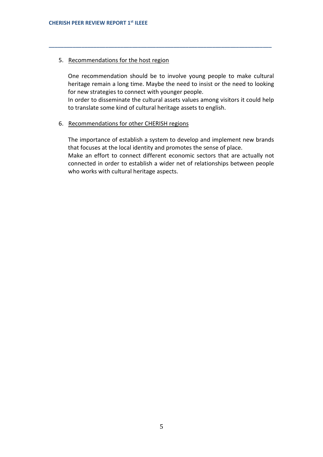#### 5. Recommendations for the host region

One recommendation should be to involve young people to make cultural heritage remain a long time. Maybe the need to insist or the need to looking for new strategies to connect with younger people.

**\_\_\_\_\_\_\_\_\_\_\_\_\_\_\_\_\_\_\_\_\_\_\_\_\_\_\_\_\_\_\_\_\_\_\_\_\_\_\_\_\_\_\_\_\_\_\_\_\_\_\_\_\_\_\_\_\_\_\_\_\_\_\_\_\_\_\_\_\_\_\_\_\_\_\_**

In order to disseminate the cultural assets values among visitors it could help to translate some kind of cultural heritage assets to english.

#### 6. Recommendations for other CHERISH regions

The importance of establish a system to develop and implement new brands that focuses at the local identity and promotes the sense of place. Make an effort to connect different economic sectors that are actually not connected in order to establish a wider net of relationships between people who works with cultural heritage aspects.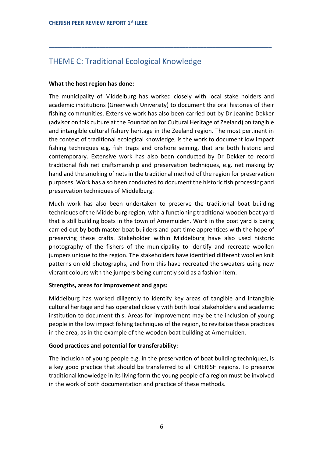# THEME C: Traditional Ecological Knowledge

## **What the host region has done:**

The municipality of Middelburg has worked closely with local stake holders and academic institutions (Greenwich University) to document the oral histories of their fishing communities. Extensive work has also been carried out by Dr Jeanine Dekker (advisor on folk culture at the Foundation for Cultural Heritage of Zeeland) on tangible and intangible cultural fishery heritage in the Zeeland region. The most pertinent in the context of traditional ecological knowledge, is the work to document low impact fishing techniques e.g. fish traps and onshore seining, that are both historic and contemporary. Extensive work has also been conducted by Dr Dekker to record traditional fish net craftsmanship and preservation techniques, e.g. net making by hand and the smoking of nets in the traditional method of the region for preservation purposes. Work has also been conducted to document the historic fish processing and preservation techniques of Middelburg.

**\_\_\_\_\_\_\_\_\_\_\_\_\_\_\_\_\_\_\_\_\_\_\_\_\_\_\_\_\_\_\_\_\_\_\_\_\_\_\_\_\_\_\_\_\_\_\_\_\_\_\_\_\_\_\_\_\_\_\_\_\_\_\_\_\_\_\_\_\_\_\_\_\_\_\_**

Much work has also been undertaken to preserve the traditional boat building techniques of the Middelburg region, with a functioning traditional wooden boat yard that is still building boats in the town of Arnemuiden. Work in the boat yard is being carried out by both master boat builders and part time apprentices with the hope of preserving these crafts. Stakeholder within Middelburg have also used historic photography of the fishers of the municipality to identify and recreate woollen jumpers unique to the region. The stakeholders have identified different woollen knit patterns on old photographs, and from this have recreated the sweaters using new vibrant colours with the jumpers being currently sold as a fashion item.

## **Strengths, areas for improvement and gaps:**

Middelburg has worked diligently to identify key areas of tangible and intangible cultural heritage and has operated closely with both local stakeholders and academic institution to document this. Areas for improvement may be the inclusion of young people in the low impact fishing techniques of the region, to revitalise these practices in the area, as in the example of the wooden boat building at Arnemuiden.

#### **Good practices and potential for transferability:**

The inclusion of young people e.g. in the preservation of boat building techniques, is a key good practice that should be transferred to all CHERISH regions. To preserve traditional knowledge in its living form the young people of a region must be involved in the work of both documentation and practice of these methods.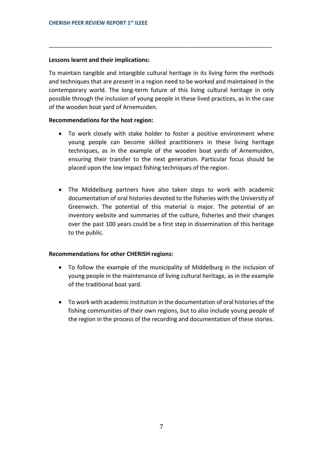#### **Lessons learnt and their implications:**

To maintain tangible and intangible cultural heritage in its living form the methods and techniques that are present in a region need to be worked and maintained in the contemporary world. The long-term future of this living cultural heritage in only possible through the inclusion of young people in these lived practices, as in the case of the wooden boat yard of Arnemuiden.

**\_\_\_\_\_\_\_\_\_\_\_\_\_\_\_\_\_\_\_\_\_\_\_\_\_\_\_\_\_\_\_\_\_\_\_\_\_\_\_\_\_\_\_\_\_\_\_\_\_\_\_\_\_\_\_\_\_\_\_\_\_\_\_\_\_\_\_\_\_\_\_\_\_\_\_**

#### **Recommendations for the host region:**

- To work closely with stake holder to foster a positive environment where young people can become skilled practitioners in these living heritage techniques, as in the example of the wooden boat yards of Arnemuiden, ensuring their transfer to the next generation. Particular focus should be placed upon the low impact fishing techniques of the region.
- The Middelburg partners have also taken steps to work with academic documentation of oral histories devoted to the fisheries with the University of Greenwich. The potential of this material is major. The potential of an inventory website and summaries of the culture, fisheries and their changes over the past 100 years could be a first step in dissemination of this heritage to the public.

#### **Recommendations for other CHERISH regions:**

- To follow the example of the municipality of Middelburg in the inclusion of young people in the maintenance of living cultural heritage, as in the example of the traditional boat yard.
- To work with academic institution in the documentation of oral histories of the fishing communities of their own regions, but to also include young people of the region in the process of the recording and documentation of these stories.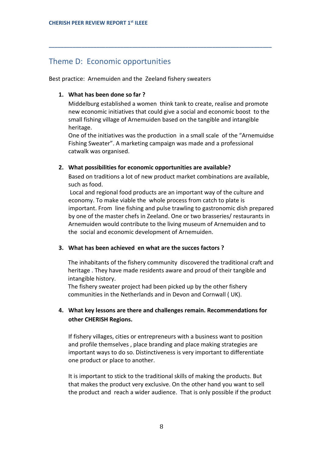# Theme D: Economic opportunities

Best practice: Arnemuiden and the Zeeland fishery sweaters

## **1. What has been done so far ?**

Middelburg established a women think tank to create, realise and promote new economic initiatives that could give a social and economic boost to the small fishing village of Arnemuiden based on the tangible and intangible heritage.

**\_\_\_\_\_\_\_\_\_\_\_\_\_\_\_\_\_\_\_\_\_\_\_\_\_\_\_\_\_\_\_\_\_\_\_\_\_\_\_\_\_\_\_\_\_\_\_\_\_\_\_\_\_\_\_\_\_\_\_\_\_\_\_\_\_\_\_\_\_\_\_\_\_\_\_**

One of the initiatives was the production in a small scale of the "Arnemuidse Fishing Sweater". A marketing campaign was made and a professional catwalk was organised.

## **2. What possibilities for economic opportunities are available?**

Based on traditions a lot of new product market combinations are available, such as food.

Local and regional food products are an important way of the culture and economy. To make viable the whole process from catch to plate is important. From line fishing and pulse trawling to gastronomic dish prepared by one of the master chefs in Zeeland. One or two brasseries/ restaurants in Arnemuiden would contribute to the living museum of Arnemuiden and to the social and economic development of Arnemuiden.

## **3. What has been achieved en what are the succes factors ?**

The inhabitants of the fishery community discovered the traditional craft and heritage . They have made residents aware and proud of their tangible and intangible history.

The fishery sweater project had been picked up by the other fishery communities in the Netherlands and in Devon and Cornwall ( UK).

## **4. What key lessons are there and challenges remain. Recommendations for other CHERISH Regions.**

If fishery villages, cities or entrepreneurs with a business want to position and profile themselves , place branding and place making strategies are important ways to do so. Distinctiveness is very important to differentiate one product or place to another.

It is important to stick to the traditional skills of making the products. But that makes the product very exclusive. On the other hand you want to sell the product and reach a wider audience. That is only possible if the product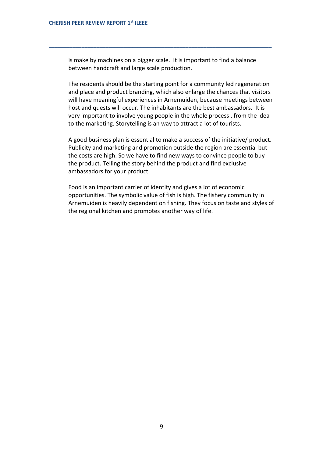is make by machines on a bigger scale. It is important to find a balance between handcraft and large scale production.

**\_\_\_\_\_\_\_\_\_\_\_\_\_\_\_\_\_\_\_\_\_\_\_\_\_\_\_\_\_\_\_\_\_\_\_\_\_\_\_\_\_\_\_\_\_\_\_\_\_\_\_\_\_\_\_\_\_\_\_\_\_\_\_\_\_\_\_\_\_\_\_\_\_\_\_**

The residents should be the starting point for a community led regeneration and place and product branding, which also enlarge the chances that visitors will have meaningful experiences in Arnemuiden, because meetings between host and quests will occur. The inhabitants are the best ambassadors. It is very important to involve young people in the whole process , from the idea to the marketing. Storytelling is an way to attract a lot of tourists.

A good business plan is essential to make a success of the initiative/ product. Publicity and marketing and promotion outside the region are essential but the costs are high. So we have to find new ways to convince people to buy the product. Telling the story behind the product and find exclusive ambassadors for your product.

Food is an important carrier of identity and gives a lot of economic opportunities. The symbolic value of fish is high. The fishery community in Arnemuiden is heavily dependent on fishing. They focus on taste and styles of the regional kitchen and promotes another way of life.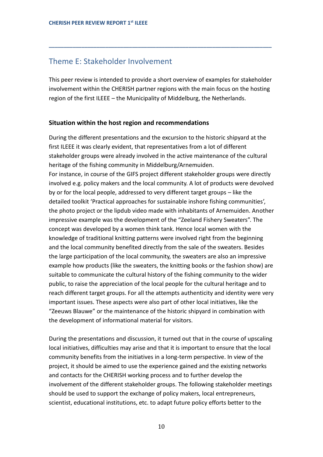## Theme E: Stakeholder Involvement

This peer review is intended to provide a short overview of examples for stakeholder involvement within the CHERISH partner regions with the main focus on the hosting region of the first ILEEE – the Municipality of Middelburg, the Netherlands.

**\_\_\_\_\_\_\_\_\_\_\_\_\_\_\_\_\_\_\_\_\_\_\_\_\_\_\_\_\_\_\_\_\_\_\_\_\_\_\_\_\_\_\_\_\_\_\_\_\_\_\_\_\_\_\_\_\_\_\_\_\_\_\_\_\_\_\_\_\_\_\_\_\_\_\_**

#### **Situation within the host region and recommendations**

During the different presentations and the excursion to the historic shipyard at the first ILEEE it was clearly evident, that representatives from a lot of different stakeholder groups were already involved in the active maintenance of the cultural heritage of the fishing community in Middelburg/Arnemuiden. For instance, in course of the GIFS project different stakeholder groups were directly involved e.g. policy makers and the local community. A lot of products were devolved by or for the local people, addressed to very different target groups – like the detailed toolkit 'Practical approaches for sustainable inshore fishing communities', the photo project or the lipdub video made with inhabitants of Arnemuiden. Another impressive example was the development of the "Zeeland Fishery Sweaters". The concept was developed by a women think tank. Hence local women with the knowledge of traditional knitting patterns were involved right from the beginning and the local community benefited directly from the sale of the sweaters. Besides the large participation of the local community, the sweaters are also an impressive example how products (like the sweaters, the knitting books or the fashion show) are suitable to communicate the cultural history of the fishing community to the wider public, to raise the appreciation of the local people for the cultural heritage and to reach different target groups. For all the attempts authenticity and identity were very important issues. These aspects were also part of other local initiatives, like the "Zeeuws Blauwe" or the maintenance of the historic shipyard in combination with the development of informational material for visitors.

During the presentations and discussion, it turned out that in the course of upscaling local initiatives, difficulties may arise and that it is important to ensure that the local community benefits from the initiatives in a long-term perspective. In view of the project, it should be aimed to use the experience gained and the existing networks and contacts for the CHERISH working process and to further develop the involvement of the different stakeholder groups. The following stakeholder meetings should be used to support the exchange of policy makers, local entrepreneurs, scientist, educational institutions, etc. to adapt future policy efforts better to the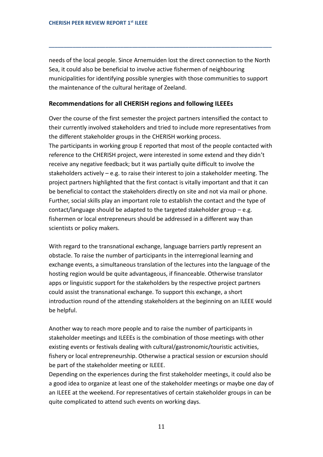needs of the local people. Since Arnemuiden lost the direct connection to the North Sea, it could also be beneficial to involve active fishermen of neighbouring municipalities for identifying possible synergies with those communities to support the maintenance of the cultural heritage of Zeeland.

**\_\_\_\_\_\_\_\_\_\_\_\_\_\_\_\_\_\_\_\_\_\_\_\_\_\_\_\_\_\_\_\_\_\_\_\_\_\_\_\_\_\_\_\_\_\_\_\_\_\_\_\_\_\_\_\_\_\_\_\_\_\_\_\_\_\_\_\_\_\_\_\_\_\_\_**

## **Recommendations for all CHERISH regions and following ILEEEs**

Over the course of the first semester the project partners intensified the contact to their currently involved stakeholders and tried to include more representatives from the different stakeholder groups in the CHERISH working process. The participants in working group E reported that most of the people contacted with reference to the CHERISH project, were interested in some extend and they didn't receive any negative feedback; but it was partially quite difficult to involve the stakeholders actively – e.g. to raise their interest to join a stakeholder meeting. The project partners highlighted that the first contact is vitally important and that it can be beneficial to contact the stakeholders directly on site and not via mail or phone. Further, social skills play an important role to establish the contact and the type of contact/language should be adapted to the targeted stakeholder group – e.g. fishermen or local entrepreneurs should be addressed in a different way than scientists or policy makers.

With regard to the transnational exchange, language barriers partly represent an obstacle. To raise the number of participants in the interregional learning and exchange events, a simultaneous translation of the lectures into the language of the hosting region would be quite advantageous, if financeable. Otherwise translator apps or linguistic support for the stakeholders by the respective project partners could assist the transnational exchange. To support this exchange, a short introduction round of the attending stakeholders at the beginning on an ILEEE would be helpful.

Another way to reach more people and to raise the number of participants in stakeholder meetings and ILEEEs is the combination of those meetings with other existing events or festivals dealing with cultural/gastronomic/touristic activities, fishery or local entrepreneurship. Otherwise a practical session or excursion should be part of the stakeholder meeting or ILEEE.

Depending on the experiences during the first stakeholder meetings, it could also be a good idea to organize at least one of the stakeholder meetings or maybe one day of an ILEEE at the weekend. For representatives of certain stakeholder groups in can be quite complicated to attend such events on working days.